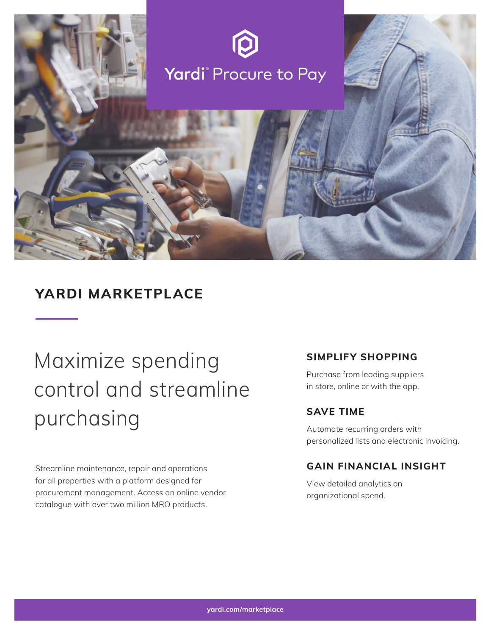

# **YARDI MARKETPLACE**

# Maximize spending control and streamline purchasing

Streamline maintenance, repair and operations for all properties with a platform designed for procurement management. Access an online vendor catalogue with over two million MRO products.

# **SIMPLIFY SHOPPING**

Purchase from leading suppliers in store, online or with the app.

# **SAVE TIME**

Automate recurring orders with personalized lists and electronic invoicing.

# **GAIN FINANCIAL INSIGHT**

View detailed analytics on organizational spend.